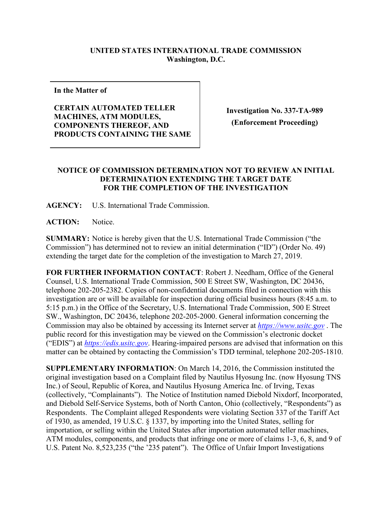## **UNITED STATES INTERNATIONAL TRADE COMMISSION Washington, D.C.**

**In the Matter of**

**CERTAIN AUTOMATED TELLER MACHINES, ATM MODULES, COMPONENTS THEREOF, AND PRODUCTS CONTAINING THE SAME**

**Investigation No. 337-TA-989 (Enforcement Proceeding)**

## **NOTICE OF COMMISSION DETERMINATION NOT TO REVIEW AN INITIAL DETERMINATION EXTENDING THE TARGET DATE FOR THE COMPLETION OF THE INVESTIGATION**

**AGENCY:** U.S. International Trade Commission.

**ACTION:** Notice.

**SUMMARY:** Notice is hereby given that the U.S. International Trade Commission ("the Commission") has determined not to review an initial determination ("ID") (Order No. 49) extending the target date for the completion of the investigation to March 27, 2019.

**FOR FURTHER INFORMATION CONTACT**: Robert J. Needham, Office of the General Counsel, U.S. International Trade Commission, 500 E Street SW, Washington, DC 20436, telephone 202-205-2382. Copies of non-confidential documents filed in connection with this investigation are or will be available for inspection during official business hours (8:45 a.m. to 5:15 p.m.) in the Office of the Secretary, U.S. International Trade Commission, 500 E Street SW., Washington, DC 20436, telephone 202-205-2000. General information concerning the Commission may also be obtained by accessing its Internet server at *[https://www.usitc.gov](https://www.usitc.gov/)* . The public record for this investigation may be viewed on the Commission's electronic docket ("EDIS") at *[https://edis.usitc.gov](https://edis.usitc.gov/)*. Hearing-impaired persons are advised that information on this matter can be obtained by contacting the Commission's TDD terminal, telephone 202-205-1810.

**SUPPLEMENTARY INFORMATION**: On March 14, 2016, the Commission instituted the original investigation based on a Complaint filed by Nautilus Hyosung Inc. (now Hyosung TNS Inc.) of Seoul, Republic of Korea, and Nautilus Hyosung America Inc. of Irving, Texas (collectively, "Complainants"). The Notice of Institution named Diebold Nixdorf, Incorporated, and Diebold Self-Service Systems, both of North Canton, Ohio (collectively, "Respondents") as Respondents. The Complaint alleged Respondents were violating Section 337 of the Tariff Act of 1930, as amended, 19 U.S.C. § 1337, by importing into the United States, selling for importation, or selling within the United States after importation automated teller machines, ATM modules, components, and products that infringe one or more of claims 1-3, 6, 8, and 9 of U.S. Patent No. 8,523,235 ("the '235 patent"). The Office of Unfair Import Investigations